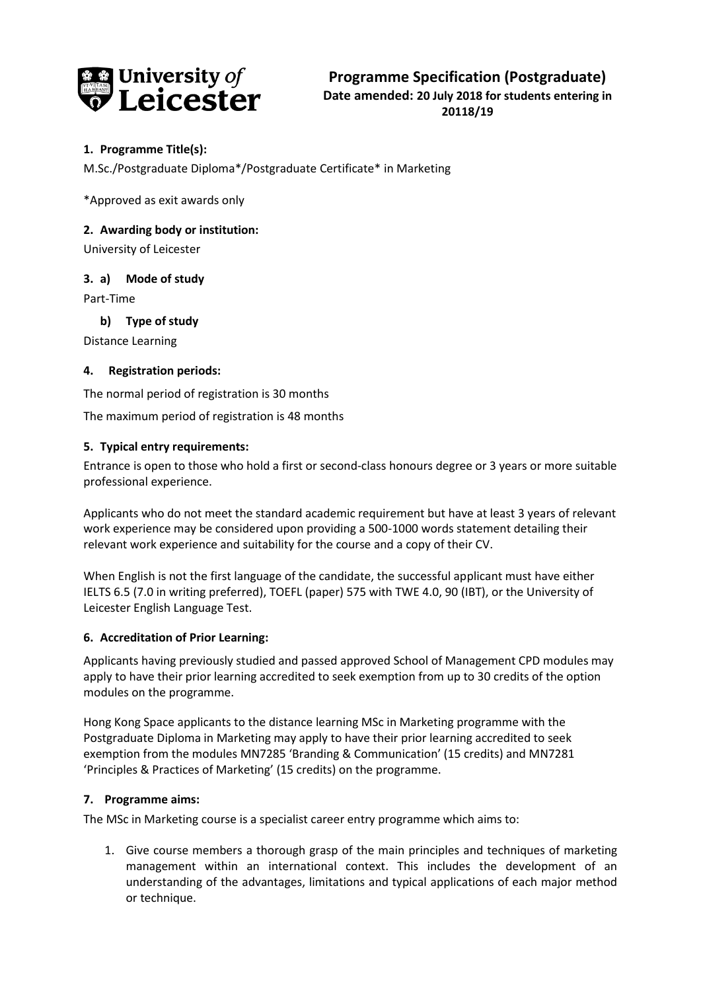

## **1. Programme Title(s):**

M.Sc./Postgraduate Diploma\*/Postgraduate Certificate\* in Marketing

\*Approved as exit awards only

## **2. Awarding body or institution:**

University of Leicester

## **3. a) Mode of study**

Part-Time

**b) Type of study**

Distance Learning

## **4. Registration periods:**

The normal period of registration is 30 months

The maximum period of registration is 48 months

## **5. Typical entry requirements:**

Entrance is open to those who hold a first or second-class honours degree or 3 years or more suitable professional experience.

Applicants who do not meet the standard academic requirement but have at least 3 years of relevant work experience may be considered upon providing a 500-1000 words statement detailing their relevant work experience and suitability for the course and a copy of their CV.

When English is not the first language of the candidate, the successful applicant must have either IELTS 6.5 (7.0 in writing preferred), TOEFL (paper) 575 with TWE 4.0, 90 (IBT), or the University of Leicester English Language Test.

#### **6. Accreditation of Prior Learning:**

Applicants having previously studied and passed approved School of Management CPD modules may apply to have their prior learning accredited to seek exemption from up to 30 credits of the option modules on the programme.

Hong Kong Space applicants to the distance learning MSc in Marketing programme with the Postgraduate Diploma in Marketing may apply to have their prior learning accredited to seek exemption from the modules MN7285 'Branding & Communication' (15 credits) and MN7281 'Principles & Practices of Marketing' (15 credits) on the programme.

#### **7. Programme aims:**

The MSc in Marketing course is a specialist career entry programme which aims to:

1. Give course members a thorough grasp of the main principles and techniques of marketing management within an international context. This includes the development of an understanding of the advantages, limitations and typical applications of each major method or technique.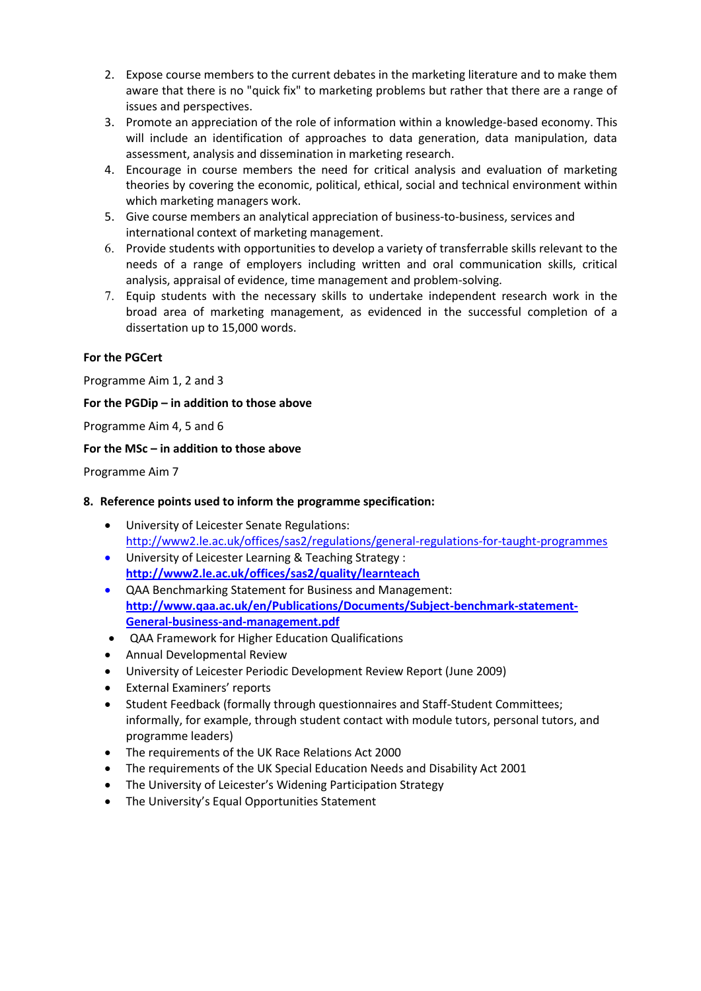- 2. Expose course members to the current debates in the marketing literature and to make them aware that there is no "quick fix" to marketing problems but rather that there are a range of issues and perspectives.
- 3. Promote an appreciation of the role of information within a knowledge-based economy. This will include an identification of approaches to data generation, data manipulation, data assessment, analysis and dissemination in marketing research.
- 4. Encourage in course members the need for critical analysis and evaluation of marketing theories by covering the economic, political, ethical, social and technical environment within which marketing managers work.
- 5. Give course members an analytical appreciation of business-to-business, services and international context of marketing management.
- 6. Provide students with opportunities to develop a variety of transferrable skills relevant to the needs of a range of employers including written and oral communication skills, critical analysis, appraisal of evidence, time management and problem-solving.
- 7. Equip students with the necessary skills to undertake independent research work in the broad area of marketing management, as evidenced in the successful completion of a dissertation up to 15,000 words.

## **For the PGCert**

Programme Aim 1, 2 and 3

## **For the PGDip – in addition to those above**

Programme Aim 4, 5 and 6

## **For the MSc – in addition to those above**

Programme Aim 7

#### **8. Reference points used to inform the programme specification:**

- University of Leicester Senate Regulations: <http://www2.le.ac.uk/offices/sas2/regulations/general-regulations-for-taught-programmes>
- University of Leicester Learning & Teaching Strategy : **<http://www2.le.ac.uk/offices/sas2/quality/learnteach>**
- QAA Benchmarking Statement for Business and Management: **[http://www.qaa.ac.uk/en/Publications/Documents/Subject-benchmark-statement-](http://www.qaa.ac.uk/en/Publications/Documents/Subject-benchmark-statement-General-business-and-management.pdf)[General-business-and-management.pdf](http://www.qaa.ac.uk/en/Publications/Documents/Subject-benchmark-statement-General-business-and-management.pdf)**
- QAA Framework for Higher Education Qualifications
- Annual Developmental Review
- University of Leicester Periodic Development Review Report (June 2009)
- External Examiners' reports
- Student Feedback (formally through questionnaires and Staff-Student Committees; informally, for example, through student contact with module tutors, personal tutors, and programme leaders)
- The requirements of the UK Race Relations Act 2000
- The requirements of the UK Special Education Needs and Disability Act 2001
- The University of Leicester's Widening Participation Strategy
- The University's Equal Opportunities Statement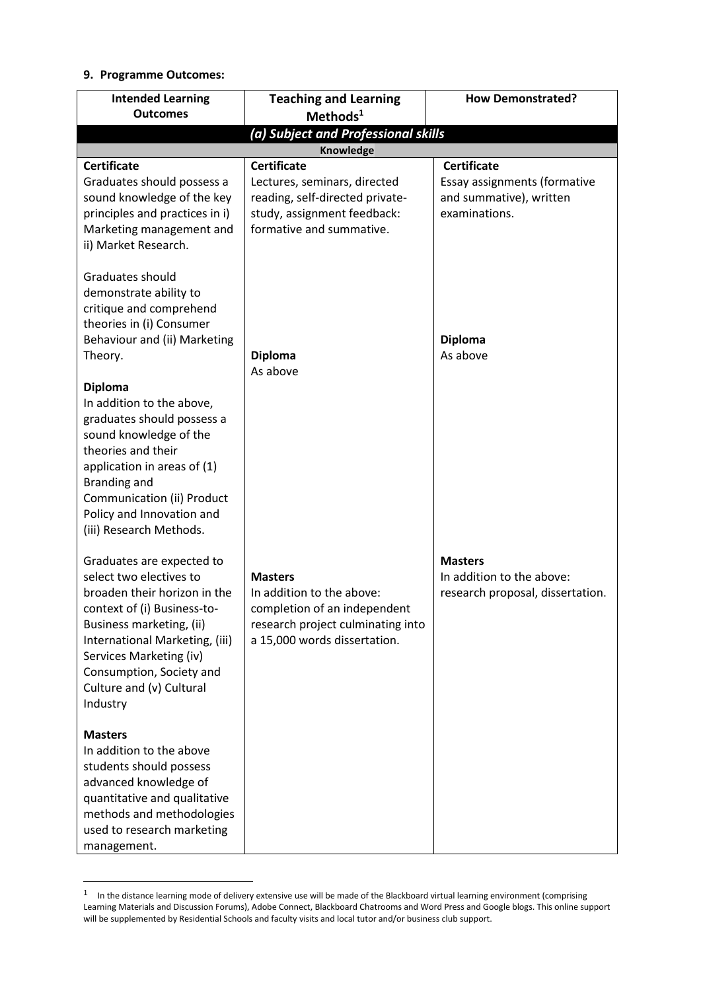# **9. Programme Outcomes:**

 $\overline{a}$ 

| <b>Intended Learning</b><br><b>Outcomes</b>                                                                                                                                                                                                                                      | <b>Teaching and Learning</b><br>Methods <sup>1</sup>                                                                                             | <b>How Demonstrated?</b>                                                        |
|----------------------------------------------------------------------------------------------------------------------------------------------------------------------------------------------------------------------------------------------------------------------------------|--------------------------------------------------------------------------------------------------------------------------------------------------|---------------------------------------------------------------------------------|
|                                                                                                                                                                                                                                                                                  | (a) Subject and Professional skills                                                                                                              |                                                                                 |
| <b>Certificate</b>                                                                                                                                                                                                                                                               | Knowledge<br><b>Certificate</b>                                                                                                                  | <b>Certificate</b>                                                              |
| Graduates should possess a<br>sound knowledge of the key<br>principles and practices in i)<br>Marketing management and<br>ii) Market Research.                                                                                                                                   | Lectures, seminars, directed<br>reading, self-directed private-<br>study, assignment feedback:<br>formative and summative.                       | Essay assignments (formative<br>and summative), written<br>examinations.        |
| Graduates should<br>demonstrate ability to<br>critique and comprehend<br>theories in (i) Consumer<br>Behaviour and (ii) Marketing<br>Theory.                                                                                                                                     | <b>Diploma</b><br>As above                                                                                                                       | <b>Diploma</b><br>As above                                                      |
| <b>Diploma</b><br>In addition to the above,<br>graduates should possess a<br>sound knowledge of the<br>theories and their<br>application in areas of (1)<br>Branding and<br>Communication (ii) Product<br>Policy and Innovation and<br>(iii) Research Methods.                   |                                                                                                                                                  |                                                                                 |
| Graduates are expected to<br>select two electives to<br>broaden their horizon in the<br>context of (i) Business-to-<br>Business marketing, (ii)<br>International Marketing, (iii)<br>Services Marketing (iv)<br>Consumption, Society and<br>Culture and (v) Cultural<br>Industry | <b>Masters</b><br>In addition to the above:<br>completion of an independent<br>research project culminating into<br>a 15,000 words dissertation. | <b>Masters</b><br>In addition to the above:<br>research proposal, dissertation. |
| <b>Masters</b><br>In addition to the above<br>students should possess<br>advanced knowledge of<br>quantitative and qualitative<br>methods and methodologies<br>used to research marketing<br>management.                                                                         |                                                                                                                                                  |                                                                                 |

<sup>&</sup>lt;sup>1</sup> In the distance learning mode of delivery extensive use will be made of the Blackboard virtual learning environment (comprising Learning Materials and Discussion Forums), Adobe Connect, Blackboard Chatrooms and Word Press and Google blogs. This online support will be supplemented by Residential Schools and faculty visits and local tutor and/or business club support.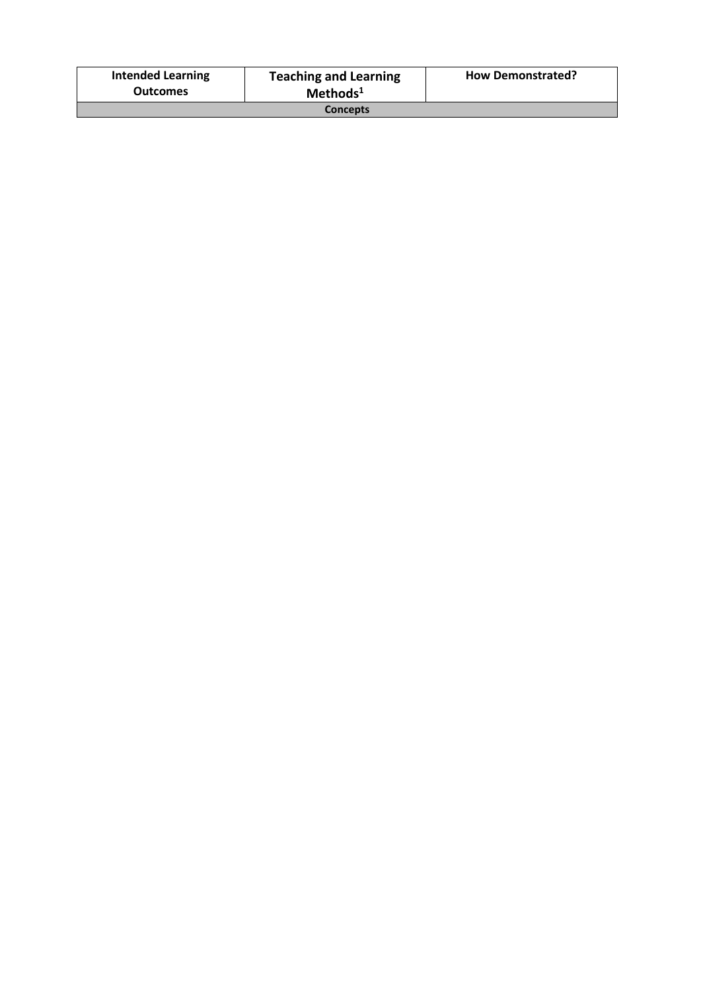| <b>Intended Learning</b><br><b>Outcomes</b> | <b>Teaching and Learning</b><br>Methods <sup>1</sup> | <b>How Demonstrated?</b> |
|---------------------------------------------|------------------------------------------------------|--------------------------|
| <b>Concepts</b>                             |                                                      |                          |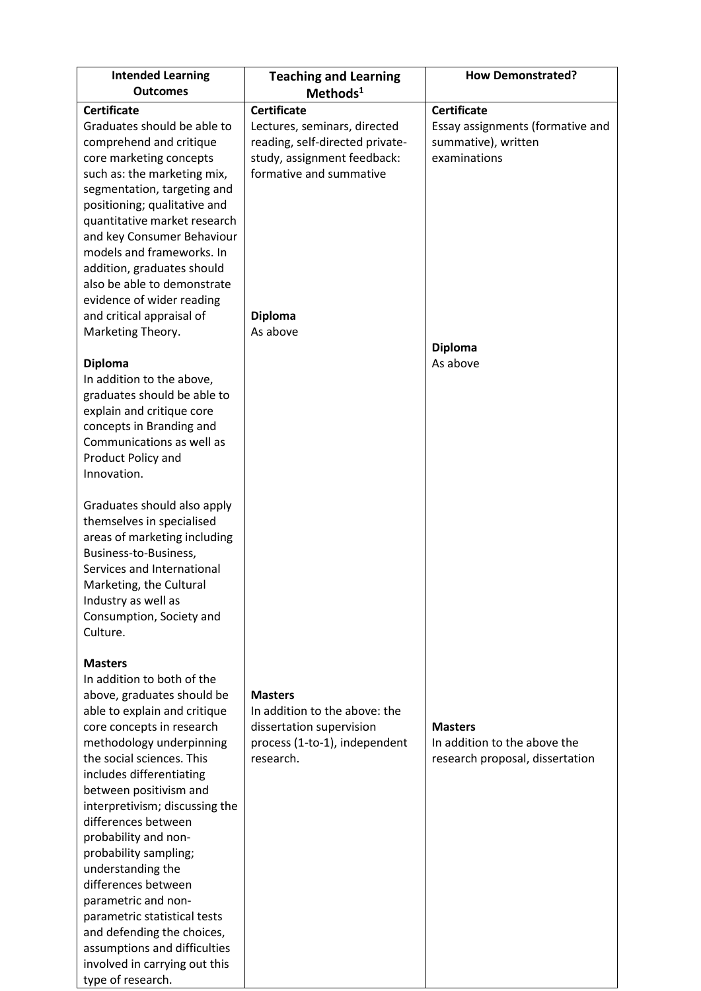| <b>Intended Learning</b><br><b>Outcomes</b>                                                                                                                                                                                                                                                                                                                                                                                                                                                                                                                           | <b>Teaching and Learning</b>                                                                                                                                                  | <b>How Demonstrated?</b>                                                                                                    |
|-----------------------------------------------------------------------------------------------------------------------------------------------------------------------------------------------------------------------------------------------------------------------------------------------------------------------------------------------------------------------------------------------------------------------------------------------------------------------------------------------------------------------------------------------------------------------|-------------------------------------------------------------------------------------------------------------------------------------------------------------------------------|-----------------------------------------------------------------------------------------------------------------------------|
|                                                                                                                                                                                                                                                                                                                                                                                                                                                                                                                                                                       | Methods <sup>1</sup>                                                                                                                                                          |                                                                                                                             |
| <b>Certificate</b><br>Graduates should be able to<br>comprehend and critique<br>core marketing concepts<br>such as: the marketing mix,<br>segmentation, targeting and<br>positioning; qualitative and<br>quantitative market research<br>and key Consumer Behaviour<br>models and frameworks. In<br>addition, graduates should<br>also be able to demonstrate<br>evidence of wider reading<br>and critical appraisal of<br>Marketing Theory.<br><b>Diploma</b>                                                                                                        | <b>Certificate</b><br>Lectures, seminars, directed<br>reading, self-directed private-<br>study, assignment feedback:<br>formative and summative<br><b>Diploma</b><br>As above | <b>Certificate</b><br>Essay assignments (formative and<br>summative), written<br>examinations<br><b>Diploma</b><br>As above |
| In addition to the above,<br>graduates should be able to<br>explain and critique core<br>concepts in Branding and<br>Communications as well as<br>Product Policy and<br>Innovation.<br>Graduates should also apply<br>themselves in specialised<br>areas of marketing including<br>Business-to-Business,<br>Services and International<br>Marketing, the Cultural<br>Industry as well as<br>Consumption, Society and<br>Culture.<br><b>Masters</b>                                                                                                                    |                                                                                                                                                                               |                                                                                                                             |
| In addition to both of the<br>above, graduates should be<br>able to explain and critique<br>core concepts in research<br>methodology underpinning<br>the social sciences. This<br>includes differentiating<br>between positivism and<br>interpretivism; discussing the<br>differences between<br>probability and non-<br>probability sampling;<br>understanding the<br>differences between<br>parametric and non-<br>parametric statistical tests<br>and defending the choices,<br>assumptions and difficulties<br>involved in carrying out this<br>type of research. | <b>Masters</b><br>In addition to the above: the<br>dissertation supervision<br>process (1-to-1), independent<br>research.                                                     | <b>Masters</b><br>In addition to the above the<br>research proposal, dissertation                                           |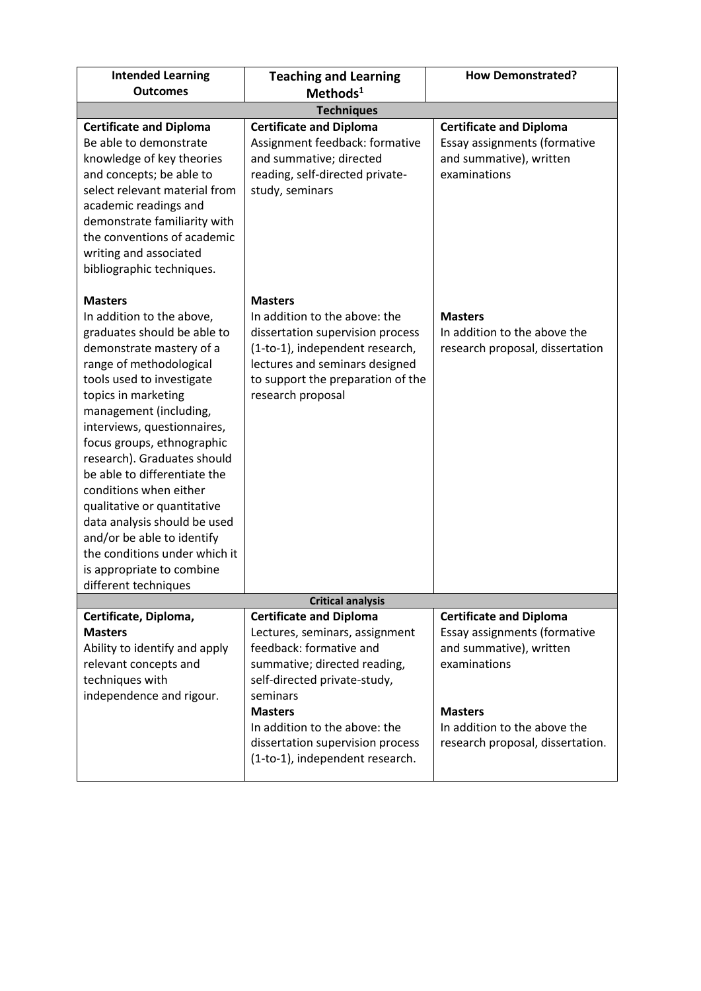| <b>Intended Learning</b><br><b>Outcomes</b>                                                                                                                                                                                                                                                                                                                                                                                                                                                                                                              | <b>Teaching and Learning</b><br>Methods <sup>1</sup>                                                                                                                                                                                                                                              | <b>How Demonstrated?</b>                                                                                                                                                                        |  |
|----------------------------------------------------------------------------------------------------------------------------------------------------------------------------------------------------------------------------------------------------------------------------------------------------------------------------------------------------------------------------------------------------------------------------------------------------------------------------------------------------------------------------------------------------------|---------------------------------------------------------------------------------------------------------------------------------------------------------------------------------------------------------------------------------------------------------------------------------------------------|-------------------------------------------------------------------------------------------------------------------------------------------------------------------------------------------------|--|
| <b>Techniques</b>                                                                                                                                                                                                                                                                                                                                                                                                                                                                                                                                        |                                                                                                                                                                                                                                                                                                   |                                                                                                                                                                                                 |  |
| <b>Certificate and Diploma</b><br>Be able to demonstrate<br>knowledge of key theories<br>and concepts; be able to<br>select relevant material from<br>academic readings and<br>demonstrate familiarity with<br>the conventions of academic<br>writing and associated<br>bibliographic techniques.                                                                                                                                                                                                                                                        | <b>Certificate and Diploma</b><br>Assignment feedback: formative<br>and summative; directed<br>reading, self-directed private-<br>study, seminars                                                                                                                                                 | <b>Certificate and Diploma</b><br>Essay assignments (formative<br>and summative), written<br>examinations                                                                                       |  |
| <b>Masters</b><br>In addition to the above,<br>graduates should be able to<br>demonstrate mastery of a<br>range of methodological<br>tools used to investigate<br>topics in marketing<br>management (including,<br>interviews, questionnaires,<br>focus groups, ethnographic<br>research). Graduates should<br>be able to differentiate the<br>conditions when either<br>qualitative or quantitative<br>data analysis should be used<br>and/or be able to identify<br>the conditions under which it<br>is appropriate to combine<br>different techniques | <b>Masters</b><br>In addition to the above: the<br>dissertation supervision process<br>(1-to-1), independent research,<br>lectures and seminars designed<br>to support the preparation of the<br>research proposal                                                                                | <b>Masters</b><br>In addition to the above the<br>research proposal, dissertation                                                                                                               |  |
|                                                                                                                                                                                                                                                                                                                                                                                                                                                                                                                                                          | <b>Critical analysis</b>                                                                                                                                                                                                                                                                          |                                                                                                                                                                                                 |  |
| Certificate, Diploma,<br><b>Masters</b><br>Ability to identify and apply<br>relevant concepts and<br>techniques with<br>independence and rigour.                                                                                                                                                                                                                                                                                                                                                                                                         | <b>Certificate and Diploma</b><br>Lectures, seminars, assignment<br>feedback: formative and<br>summative; directed reading,<br>self-directed private-study,<br>seminars<br><b>Masters</b><br>In addition to the above: the<br>dissertation supervision process<br>(1-to-1), independent research. | <b>Certificate and Diploma</b><br>Essay assignments (formative<br>and summative), written<br>examinations<br><b>Masters</b><br>In addition to the above the<br>research proposal, dissertation. |  |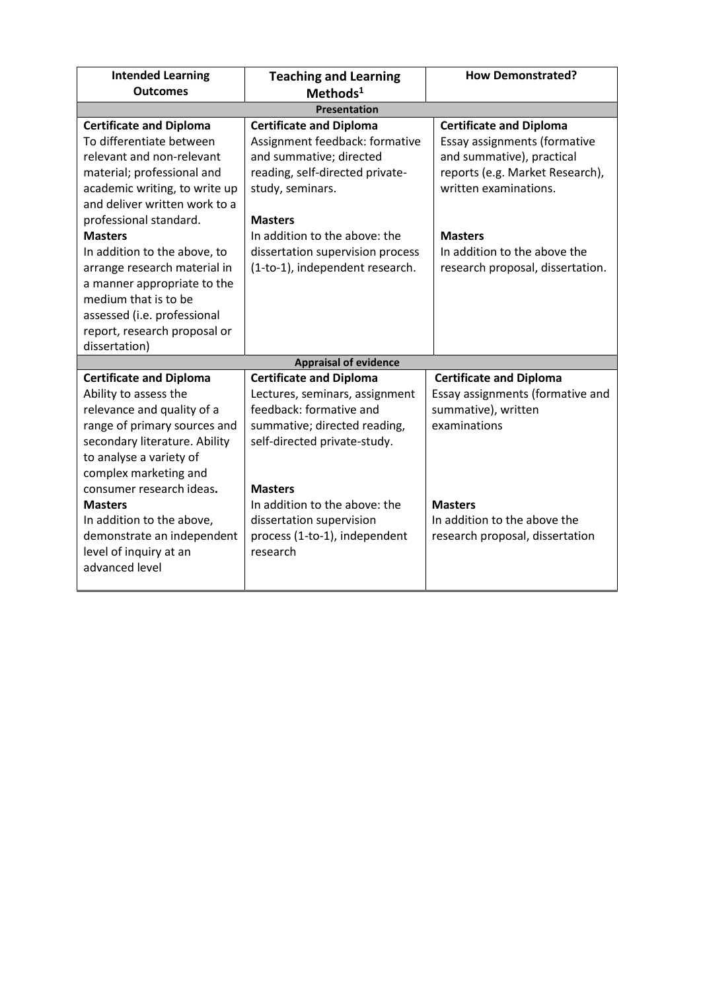| <b>Intended Learning</b><br><b>Outcomes</b>                                                                                                                                                                                            | <b>Teaching and Learning</b><br>$Methods1$                                                                                                                                    | <b>How Demonstrated?</b>                                                                                                                                |  |
|----------------------------------------------------------------------------------------------------------------------------------------------------------------------------------------------------------------------------------------|-------------------------------------------------------------------------------------------------------------------------------------------------------------------------------|---------------------------------------------------------------------------------------------------------------------------------------------------------|--|
|                                                                                                                                                                                                                                        | <b>Presentation</b>                                                                                                                                                           |                                                                                                                                                         |  |
| <b>Certificate and Diploma</b><br>To differentiate between<br>relevant and non-relevant<br>material; professional and<br>academic writing, to write up<br>and deliver written work to a<br>professional standard.                      | <b>Certificate and Diploma</b><br>Assignment feedback: formative<br>and summative; directed<br>reading, self-directed private-<br>study, seminars.<br><b>Masters</b>          | <b>Certificate and Diploma</b><br>Essay assignments (formative<br>and summative), practical<br>reports (e.g. Market Research),<br>written examinations. |  |
| <b>Masters</b><br>In addition to the above, to<br>arrange research material in<br>a manner appropriate to the<br>medium that is to be<br>assessed (i.e. professional<br>report, research proposal or<br>dissertation)                  | In addition to the above: the<br>dissertation supervision process<br>(1-to-1), independent research.                                                                          | <b>Masters</b><br>In addition to the above the<br>research proposal, dissertation.                                                                      |  |
|                                                                                                                                                                                                                                        | <b>Appraisal of evidence</b>                                                                                                                                                  |                                                                                                                                                         |  |
| <b>Certificate and Diploma</b><br>Ability to assess the<br>relevance and quality of a<br>range of primary sources and<br>secondary literature. Ability<br>to analyse a variety of<br>complex marketing and<br>consumer research ideas. | <b>Certificate and Diploma</b><br>Lectures, seminars, assignment<br>feedback: formative and<br>summative; directed reading,<br>self-directed private-study.<br><b>Masters</b> | <b>Certificate and Diploma</b><br>Essay assignments (formative and<br>summative), written<br>examinations                                               |  |
| <b>Masters</b><br>In addition to the above,<br>demonstrate an independent<br>level of inquiry at an<br>advanced level                                                                                                                  | In addition to the above: the<br>dissertation supervision<br>process (1-to-1), independent<br>research                                                                        | <b>Masters</b><br>In addition to the above the<br>research proposal, dissertation                                                                       |  |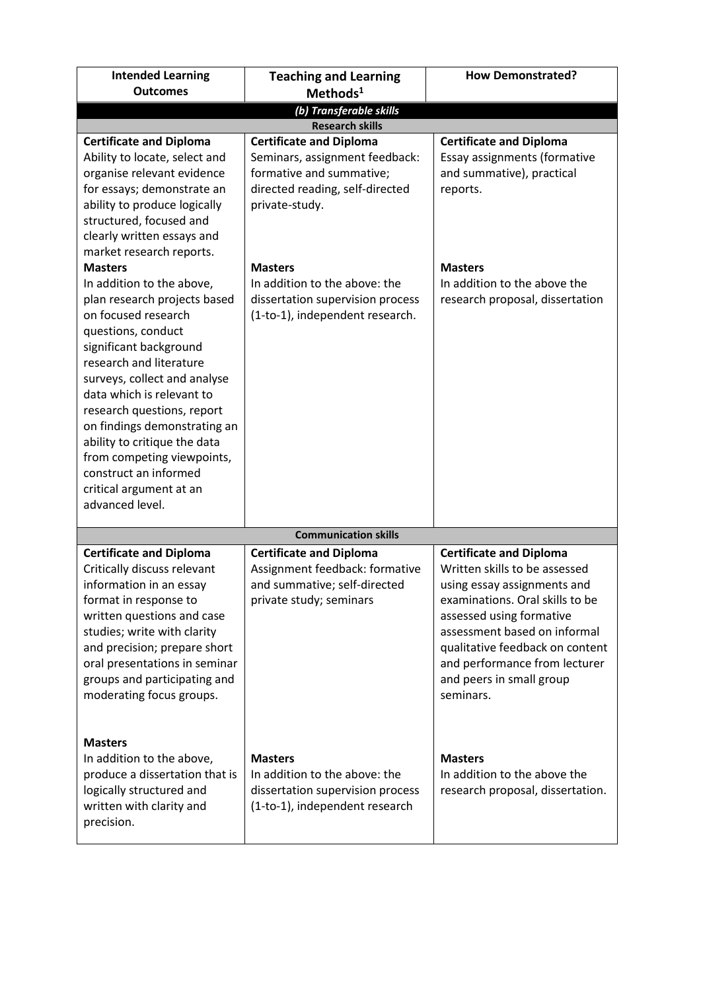| <b>Intended Learning</b>                                                                                                                                                                                                                                                                                                                                                                                                                                                                                                                                                                                                                                                       | <b>Teaching and Learning</b>                                                                                                                                                                                                                                                | <b>How Demonstrated?</b>                                                                                                                                                                                                                                          |
|--------------------------------------------------------------------------------------------------------------------------------------------------------------------------------------------------------------------------------------------------------------------------------------------------------------------------------------------------------------------------------------------------------------------------------------------------------------------------------------------------------------------------------------------------------------------------------------------------------------------------------------------------------------------------------|-----------------------------------------------------------------------------------------------------------------------------------------------------------------------------------------------------------------------------------------------------------------------------|-------------------------------------------------------------------------------------------------------------------------------------------------------------------------------------------------------------------------------------------------------------------|
| <b>Outcomes</b>                                                                                                                                                                                                                                                                                                                                                                                                                                                                                                                                                                                                                                                                | Methods <sup>1</sup>                                                                                                                                                                                                                                                        |                                                                                                                                                                                                                                                                   |
|                                                                                                                                                                                                                                                                                                                                                                                                                                                                                                                                                                                                                                                                                | (b) Transferable skills                                                                                                                                                                                                                                                     |                                                                                                                                                                                                                                                                   |
|                                                                                                                                                                                                                                                                                                                                                                                                                                                                                                                                                                                                                                                                                | <b>Research skills</b>                                                                                                                                                                                                                                                      |                                                                                                                                                                                                                                                                   |
| <b>Certificate and Diploma</b><br>Ability to locate, select and<br>organise relevant evidence<br>for essays; demonstrate an<br>ability to produce logically<br>structured, focused and<br>clearly written essays and<br>market research reports.<br><b>Masters</b><br>In addition to the above,<br>plan research projects based<br>on focused research<br>questions, conduct<br>significant background<br>research and literature<br>surveys, collect and analyse<br>data which is relevant to<br>research questions, report<br>on findings demonstrating an<br>ability to critique the data<br>from competing viewpoints,<br>construct an informed<br>critical argument at an | <b>Certificate and Diploma</b><br>Seminars, assignment feedback:<br>formative and summative;<br>directed reading, self-directed<br>private-study.<br><b>Masters</b><br>In addition to the above: the<br>dissertation supervision process<br>(1-to-1), independent research. | <b>Certificate and Diploma</b><br>Essay assignments (formative<br>and summative), practical<br>reports.<br><b>Masters</b><br>In addition to the above the<br>research proposal, dissertation                                                                      |
| advanced level.                                                                                                                                                                                                                                                                                                                                                                                                                                                                                                                                                                                                                                                                |                                                                                                                                                                                                                                                                             |                                                                                                                                                                                                                                                                   |
|                                                                                                                                                                                                                                                                                                                                                                                                                                                                                                                                                                                                                                                                                | <b>Communication skills</b>                                                                                                                                                                                                                                                 |                                                                                                                                                                                                                                                                   |
| <b>Certificate and Diploma</b><br>Critically discuss relevant<br>information in an essay<br>format in response to<br>written questions and case<br>studies; write with clarity<br>and precision; prepare short<br>oral presentations in seminar                                                                                                                                                                                                                                                                                                                                                                                                                                | <b>Certificate and Diploma</b><br>Assignment feedback: formative<br>and summative; self-directed<br>private study; seminars                                                                                                                                                 | <b>Certificate and Diploma</b><br>Written skills to be assessed<br>using essay assignments and<br>examinations. Oral skills to be<br>assessed using formative<br>assessment based on informal<br>qualitative feedback on content<br>and performance from lecturer |
| groups and participating and<br>moderating focus groups.<br><b>Masters</b><br>In addition to the above,<br>produce a dissertation that is<br>logically structured and<br>written with clarity and<br>precision.                                                                                                                                                                                                                                                                                                                                                                                                                                                                | <b>Masters</b><br>In addition to the above: the<br>dissertation supervision process<br>(1-to-1), independent research                                                                                                                                                       | and peers in small group<br>seminars.<br><b>Masters</b><br>In addition to the above the<br>research proposal, dissertation.                                                                                                                                       |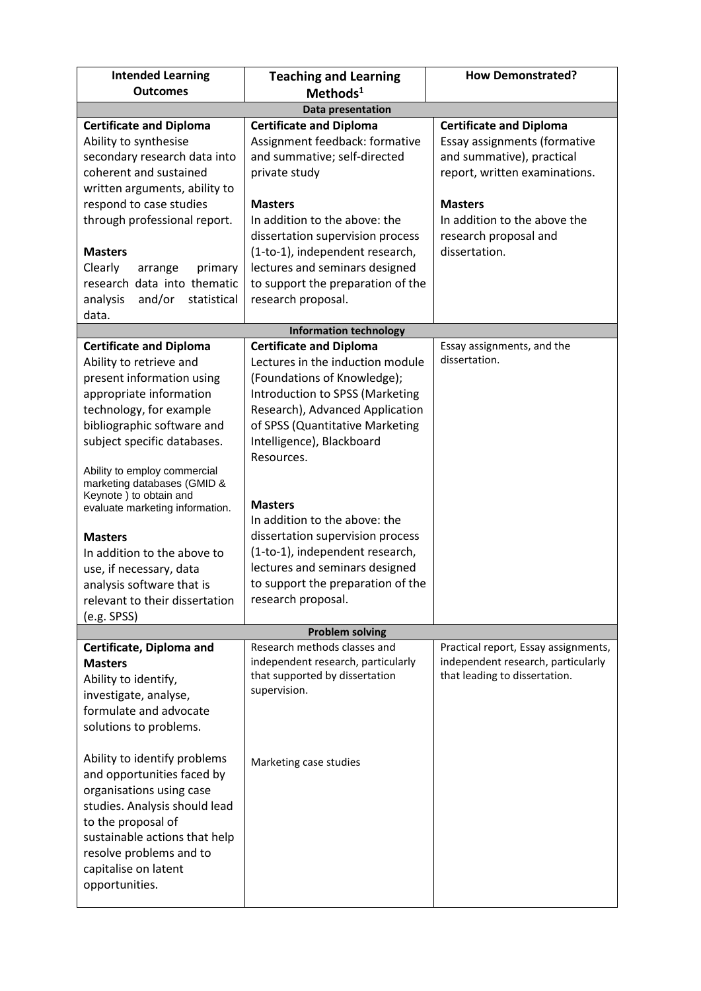| <b>Intended Learning</b><br><b>Outcomes</b>                                                                                                                                                                                                                                                                                                                                                                                                                                                     | <b>Teaching and Learning</b><br>Methods <sup>1</sup>                                                                                                                                                                                                                                                                                                                                                                                                                         | <b>How Demonstrated?</b>                                                                                    |
|-------------------------------------------------------------------------------------------------------------------------------------------------------------------------------------------------------------------------------------------------------------------------------------------------------------------------------------------------------------------------------------------------------------------------------------------------------------------------------------------------|------------------------------------------------------------------------------------------------------------------------------------------------------------------------------------------------------------------------------------------------------------------------------------------------------------------------------------------------------------------------------------------------------------------------------------------------------------------------------|-------------------------------------------------------------------------------------------------------------|
|                                                                                                                                                                                                                                                                                                                                                                                                                                                                                                 | <b>Data presentation</b>                                                                                                                                                                                                                                                                                                                                                                                                                                                     |                                                                                                             |
| <b>Certificate and Diploma</b>                                                                                                                                                                                                                                                                                                                                                                                                                                                                  | <b>Certificate and Diploma</b>                                                                                                                                                                                                                                                                                                                                                                                                                                               | <b>Certificate and Diploma</b>                                                                              |
| Ability to synthesise<br>secondary research data into<br>coherent and sustained<br>written arguments, ability to                                                                                                                                                                                                                                                                                                                                                                                | Assignment feedback: formative<br>and summative; self-directed<br>private study                                                                                                                                                                                                                                                                                                                                                                                              | Essay assignments (formative<br>and summative), practical<br>report, written examinations.                  |
| respond to case studies<br>through professional report.                                                                                                                                                                                                                                                                                                                                                                                                                                         | <b>Masters</b><br>In addition to the above: the<br>dissertation supervision process                                                                                                                                                                                                                                                                                                                                                                                          | <b>Masters</b><br>In addition to the above the<br>research proposal and                                     |
| <b>Masters</b><br>Clearly<br>primary<br>arrange<br>research data into thematic<br>and/or<br>analysis<br>statistical<br>data.                                                                                                                                                                                                                                                                                                                                                                    | (1-to-1), independent research,<br>lectures and seminars designed<br>to support the preparation of the<br>research proposal.                                                                                                                                                                                                                                                                                                                                                 | dissertation.                                                                                               |
|                                                                                                                                                                                                                                                                                                                                                                                                                                                                                                 | <b>Information technology</b>                                                                                                                                                                                                                                                                                                                                                                                                                                                |                                                                                                             |
| <b>Certificate and Diploma</b><br>Ability to retrieve and<br>present information using<br>appropriate information<br>technology, for example<br>bibliographic software and<br>subject specific databases.<br>Ability to employ commercial<br>marketing databases (GMID &<br>Keynote) to obtain and<br>evaluate marketing information.<br><b>Masters</b><br>In addition to the above to<br>use, if necessary, data<br>analysis software that is<br>relevant to their dissertation<br>(e.g. SPSS) | <b>Certificate and Diploma</b><br>Lectures in the induction module<br>(Foundations of Knowledge);<br>Introduction to SPSS (Marketing<br>Research), Advanced Application<br>of SPSS (Quantitative Marketing<br>Intelligence), Blackboard<br>Resources.<br><b>Masters</b><br>In addition to the above: the<br>dissertation supervision process<br>(1-to-1), independent research,<br>lectures and seminars designed<br>to support the preparation of the<br>research proposal. | Essay assignments, and the<br>dissertation.                                                                 |
|                                                                                                                                                                                                                                                                                                                                                                                                                                                                                                 | <b>Problem solving</b>                                                                                                                                                                                                                                                                                                                                                                                                                                                       |                                                                                                             |
| Certificate, Diploma and<br><b>Masters</b><br>Ability to identify,<br>investigate, analyse,<br>formulate and advocate<br>solutions to problems.                                                                                                                                                                                                                                                                                                                                                 | Research methods classes and<br>independent research, particularly<br>that supported by dissertation<br>supervision.                                                                                                                                                                                                                                                                                                                                                         | Practical report, Essay assignments,<br>independent research, particularly<br>that leading to dissertation. |
| Ability to identify problems<br>and opportunities faced by<br>organisations using case<br>studies. Analysis should lead<br>to the proposal of<br>sustainable actions that help<br>resolve problems and to<br>capitalise on latent<br>opportunities.                                                                                                                                                                                                                                             | Marketing case studies                                                                                                                                                                                                                                                                                                                                                                                                                                                       |                                                                                                             |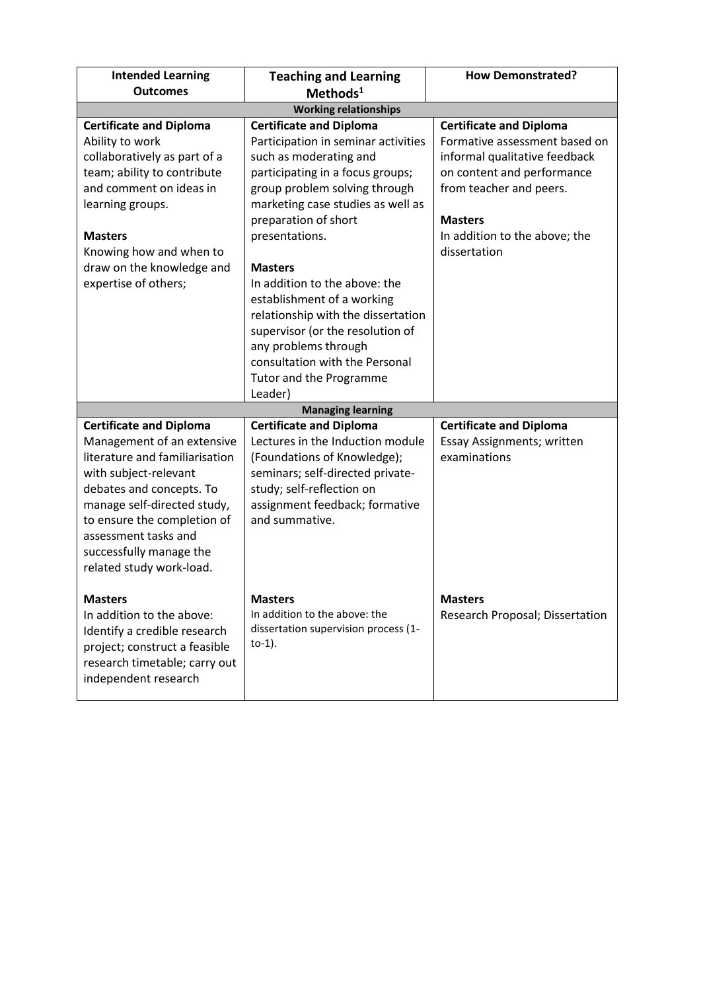| <b>Intended Learning</b><br><b>Outcomes</b>                                                                                                                                                                                                                                                      | <b>Teaching and Learning</b><br>$Methods1$                                                                                                                                                                                                                                                                                                                                                                                                                                                          | <b>How Demonstrated?</b>                                                                                                                                                                                                     |
|--------------------------------------------------------------------------------------------------------------------------------------------------------------------------------------------------------------------------------------------------------------------------------------------------|-----------------------------------------------------------------------------------------------------------------------------------------------------------------------------------------------------------------------------------------------------------------------------------------------------------------------------------------------------------------------------------------------------------------------------------------------------------------------------------------------------|------------------------------------------------------------------------------------------------------------------------------------------------------------------------------------------------------------------------------|
|                                                                                                                                                                                                                                                                                                  | <b>Working relationships</b>                                                                                                                                                                                                                                                                                                                                                                                                                                                                        |                                                                                                                                                                                                                              |
| <b>Certificate and Diploma</b><br>Ability to work<br>collaboratively as part of a<br>team; ability to contribute<br>and comment on ideas in<br>learning groups.<br><b>Masters</b><br>Knowing how and when to<br>draw on the knowledge and<br>expertise of others;                                | <b>Certificate and Diploma</b><br>Participation in seminar activities<br>such as moderating and<br>participating in a focus groups;<br>group problem solving through<br>marketing case studies as well as<br>preparation of short<br>presentations.<br><b>Masters</b><br>In addition to the above: the<br>establishment of a working<br>relationship with the dissertation<br>supervisor (or the resolution of<br>any problems through<br>consultation with the Personal<br>Tutor and the Programme | <b>Certificate and Diploma</b><br>Formative assessment based on<br>informal qualitative feedback<br>on content and performance<br>from teacher and peers.<br><b>Masters</b><br>In addition to the above; the<br>dissertation |
|                                                                                                                                                                                                                                                                                                  | Leader)<br><b>Managing learning</b>                                                                                                                                                                                                                                                                                                                                                                                                                                                                 |                                                                                                                                                                                                                              |
| <b>Certificate and Diploma</b><br>Management of an extensive<br>literature and familiarisation<br>with subject-relevant<br>debates and concepts. To<br>manage self-directed study,<br>to ensure the completion of<br>assessment tasks and<br>successfully manage the<br>related study work-load. | <b>Certificate and Diploma</b><br>Lectures in the Induction module<br>(Foundations of Knowledge);<br>seminars; self-directed private-<br>study; self-reflection on<br>assignment feedback; formative<br>and summative.                                                                                                                                                                                                                                                                              | <b>Certificate and Diploma</b><br>Essay Assignments; written<br>examinations                                                                                                                                                 |
| <b>Masters</b><br>In addition to the above:<br>Identify a credible research<br>project; construct a feasible<br>research timetable; carry out<br>independent research                                                                                                                            | <b>Masters</b><br>In addition to the above: the<br>dissertation supervision process (1-<br>$to-1$ ).                                                                                                                                                                                                                                                                                                                                                                                                | <b>Masters</b><br>Research Proposal; Dissertation                                                                                                                                                                            |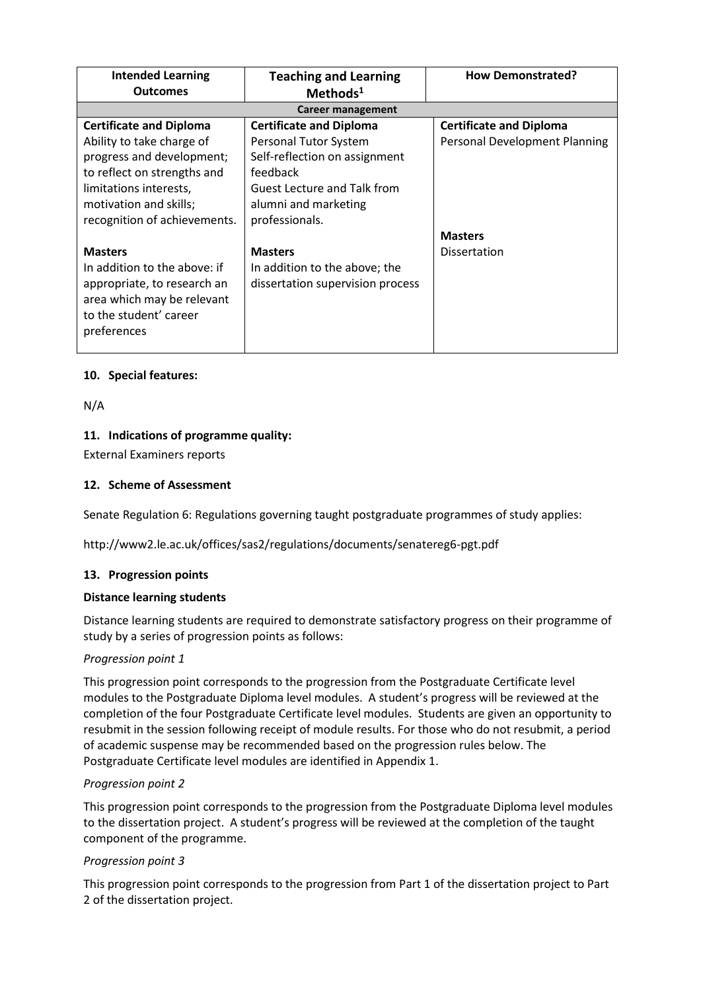| <b>Intended Learning</b><br>Outcomes | <b>Teaching and Learning</b><br>Methods <sup>1</sup> | <b>How Demonstrated?</b>       |  |
|--------------------------------------|------------------------------------------------------|--------------------------------|--|
|                                      | Career management                                    |                                |  |
| <b>Certificate and Diploma</b>       | <b>Certificate and Diploma</b>                       | <b>Certificate and Diploma</b> |  |
| Ability to take charge of            | Personal Tutor System                                | Personal Development Planning  |  |
| progress and development;            | Self-reflection on assignment                        |                                |  |
| to reflect on strengths and          | feedback                                             |                                |  |
| limitations interests,               | Guest Lecture and Talk from                          |                                |  |
| motivation and skills;               | alumni and marketing                                 |                                |  |
| recognition of achievements.         | professionals.                                       |                                |  |
|                                      |                                                      | <b>Masters</b>                 |  |
| <b>Masters</b>                       | <b>Masters</b>                                       | <b>Dissertation</b>            |  |
| In addition to the above: if         | In addition to the above; the                        |                                |  |
| appropriate, to research an          | dissertation supervision process                     |                                |  |
| area which may be relevant           |                                                      |                                |  |
| to the student' career               |                                                      |                                |  |
| preferences                          |                                                      |                                |  |
|                                      |                                                      |                                |  |

## **10. Special features:**

N/A

## **11. Indications of programme quality:**

External Examiners reports

## **12. Scheme of Assessment**

Senate Regulation 6: Regulations governing taught postgraduate programmes of study applies:

http://www2.le.ac.uk/offices/sas2/regulations/documents/senatereg6-pgt.pdf

#### **13. Progression points**

#### **Distance learning students**

Distance learning students are required to demonstrate satisfactory progress on their programme of study by a series of progression points as follows:

#### *Progression point 1*

This progression point corresponds to the progression from the Postgraduate Certificate level modules to the Postgraduate Diploma level modules. A student's progress will be reviewed at the completion of the four Postgraduate Certificate level modules. Students are given an opportunity to resubmit in the session following receipt of module results. For those who do not resubmit, a period of academic suspense may be recommended based on the progression rules below. The Postgraduate Certificate level modules are identified in Appendix 1.

#### *Progression point 2*

This progression point corresponds to the progression from the Postgraduate Diploma level modules to the dissertation project. A student's progress will be reviewed at the completion of the taught component of the programme.

#### *Progression point 3*

This progression point corresponds to the progression from Part 1 of the dissertation project to Part 2 of the dissertation project.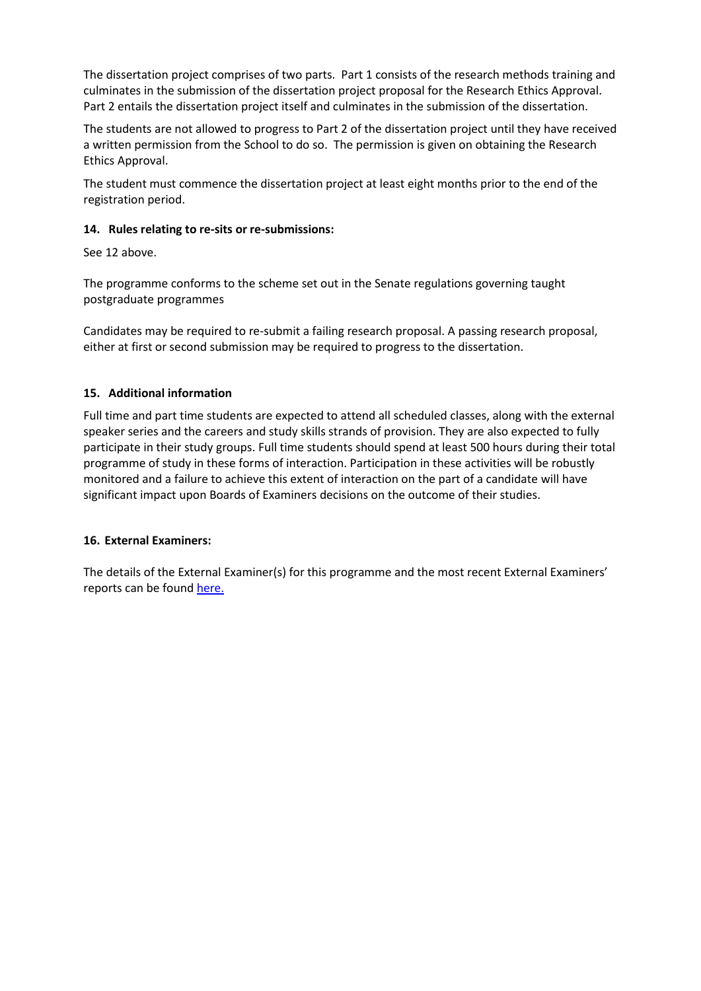The dissertation project comprises of two parts. Part 1 consists of the research methods training and culminates in the submission of the dissertation project proposal for the Research Ethics Approval. Part 2 entails the dissertation project itself and culminates in the submission of the dissertation.

The students are not allowed to progress to Part 2 of the dissertation project until they have received a written permission from the School to do so. The permission is given on obtaining the Research Ethics Approval.

The student must commence the dissertation project at least eight months prior to the end of the registration period.

## **14. Rules relating to re-sits or re-submissions:**

See 12 above.

The programme conforms to the scheme set out in the Senate regulations governing taught postgraduate programmes

Candidates may be required to re-submit a failing research proposal. A passing research proposal, either at first or second submission may be required to progress to the dissertation.

## **15. Additional information**

Full time and part time students are expected to attend all scheduled classes, along with the external speaker series and the careers and study skills strands of provision. They are also expected to fully participate in their study groups. Full time students should spend at least 500 hours during their total programme of study in these forms of interaction. Participation in these activities will be robustly monitored and a failure to achieve this extent of interaction on the part of a candidate will have significant impact upon Boards of Examiners decisions on the outcome of their studies.

#### **16. External Examiners:**

The details of the External Examiner(s) for this programme and the most recent External Examiners' reports can be found [here.](https://exampapers.le.ac.uk/xmlui/handle/123456789/168)